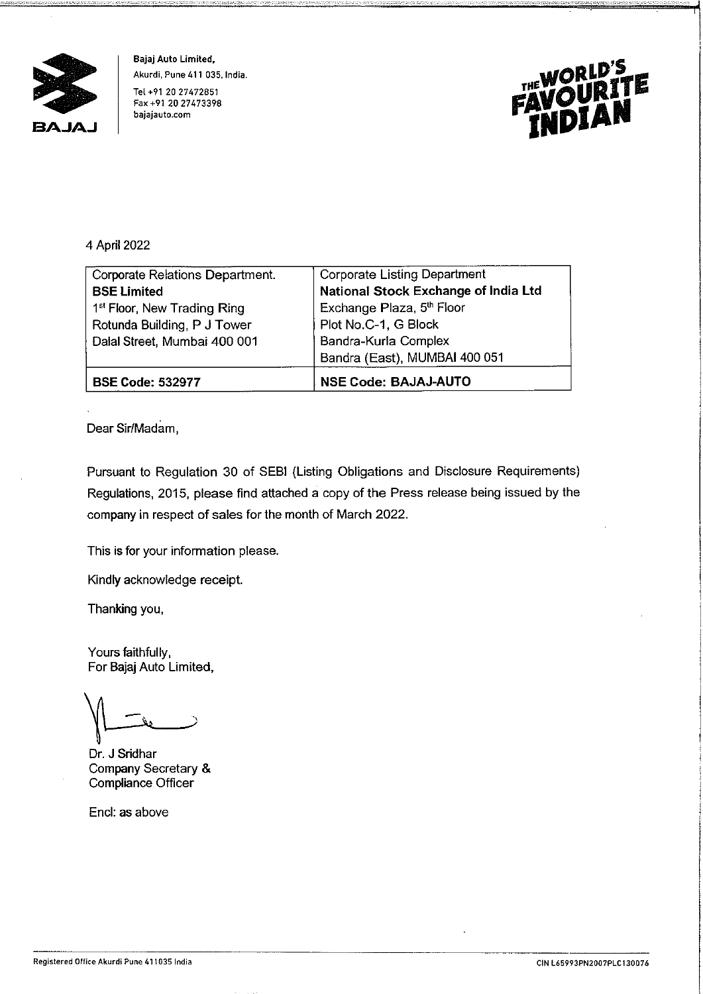

**Bajaj Auto Limited, Akurdi, Pune 411 035. India.**  Tel +91 20 27472851 **Fax +91 20 27473398 bajajauto.com** 



## 4 April 2022

| Corporate Relations Department.         | <b>Corporate Listing Department</b>  |
|-----------------------------------------|--------------------------------------|
| <b>BSE Limited</b>                      | National Stock Exchange of India Ltd |
| 1 <sup>st</sup> Floor, New Trading Ring | Exchange Plaza, 5th Floor            |
| Rotunda Building, P J Tower             | Plot No.C-1, G Block                 |
| Dalal Street, Mumbai 400 001            | Bandra-Kurla Complex                 |
|                                         | Bandra (East), MUMBAI 400 051        |
| <b>BSE Code: 532977</b>                 | <b>NSE Code: BAJAJ-AUTO</b>          |

Dear Sir/Madam,

Pursuant to Regulation 30 of SEBI (Listing Obligations and Disclosure Requirements) Regulations, 2015, please find attached a copy of the Press release being issued by the company in respect of sales for the month of March 2022.

This is for your information please.

Kindly acknowledge receipt.

Thanking you,

Yours faithfully, For Bajaj Auto Limited,

*.)* 

Dr. **J** Sridhar Company Secretary & Compliance Officer

Encl: **as** above